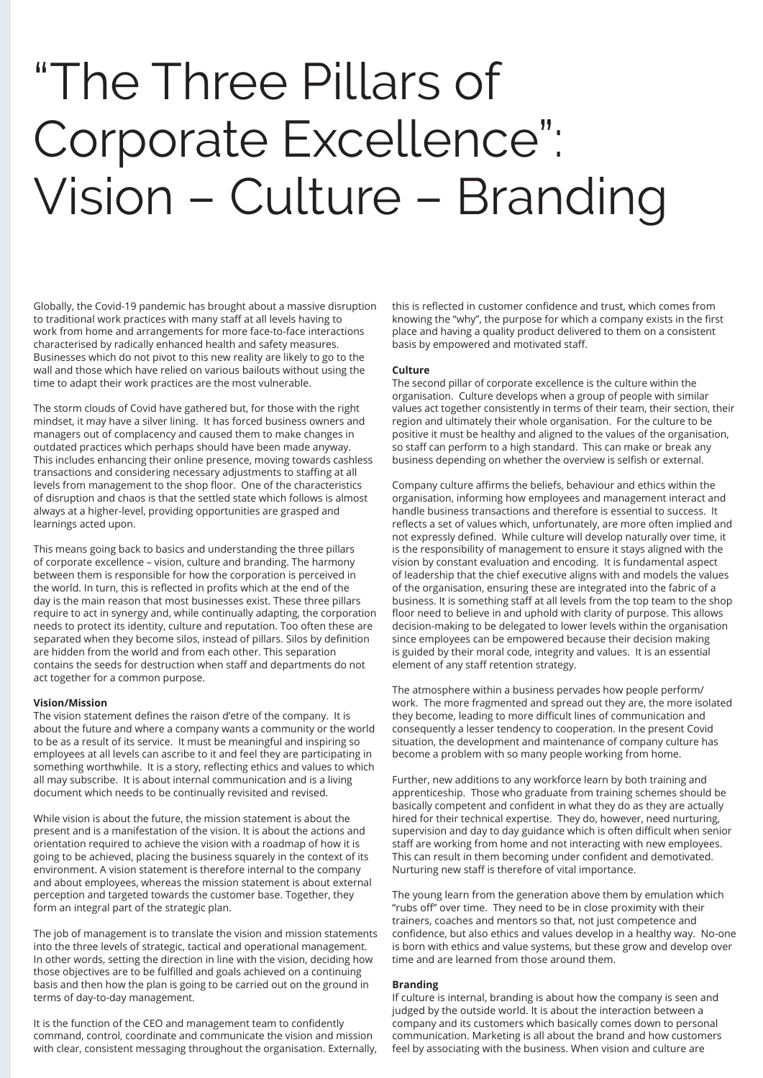# "The Three Pillars of Corporate Excellence": Vision – Culture – Branding

Globally, the Covid-19 pandemic has brought about a massive disruption to traditional work practices with many staff at all levels having to work from home and arrangements for more face-to-face interactions characterised by radically enhanced health and safety measures. Businesses which do not pivot to this new reality are likely to go to the wall and those which have relied on various bailouts without using the time to adapt their work practices are the most vulnerable.

The storm clouds of Covid have gathered but, for those with the right mindset, it may have a silver lining. It has forced business owners and managers out of complacency and caused them to make changes in outdated practices which perhaps should have been made anyway. This includes enhancing their online presence, moving towards cashless transactions and considering necessary adjustments to staffing at all levels from management to the shop floor. One of the characteristics of disruption and chaos is that the settled state which follows is almost always at a higher-level, providing opportunities are grasped and learnings acted upon.

This means going back to basics and understanding the three pillars of corporate excellence – vision, culture and branding. The harmony between them is responsible for how the corporation is perceived in the world. In turn, this is reflected in profits which at the end of the day is the main reason that most businesses exist. These three pillars require to act in synergy and, while continually adapting, the corporation needs to protect its identity, culture and reputation. Too often these are separated when they become silos, instead of pillars. Silos by definition are hidden from the world and from each other. This separation contains the seeds for destruction when staff and departments do not act together for a common purpose.

## **Vision/Mission**

The vision statement defines the raison d'etre of the company. It is about the future and where a company wants a community or the world to be as a result of its service. It must be meaningful and inspiring so employees at all levels can ascribe to it and feel they are participating in something worthwhile. It is a story, reflecting ethics and values to which all may subscribe. It is about internal communication and is a living document which needs to be continually revisited and revised.

While vision is about the future, the mission statement is about the present and is a manifestation of the vision. It is about the actions and orientation required to achieve the vision with a roadmap of how it is going to be achieved, placing the business squarely in the context of its environment. A vision statement is therefore internal to the company and about employees, whereas the mission statement is about external perception and targeted towards the customer base. Together, they form an integral part of the strategic plan.

The job of management is to translate the vision and mission statements into the three levels of strategic, tactical and operational management. In other words, setting the direction in line with the vision, deciding how those objectives are to be fulfilled and goals achieved on a continuing basis and then how the plan is going to be carried out on the ground in terms of day-to-day management.

It is the function of the CEO and management team to confidently command, control, coordinate and communicate the vision and mission with clear, consistent messaging throughout the organisation. Externally, this is reflected in customer confidence and trust, which comes from knowing the "why", the purpose for which a company exists in the first place and having a quality product delivered to them on a consistent basis by empowered and motivated staff.

#### **Culture**

The second pillar of corporate excellence is the culture within the organisation. Culture develops when a group of people with similar values act together consistently in terms of their team, their section, their region and ultimately their whole organisation. For the culture to be positive it must be healthy and aligned to the values of the organisation, so staff can perform to a high standard. This can make or break any business depending on whether the overview is selfish or external.

Company culture affirms the beliefs, behaviour and ethics within the organisation, informing how employees and management interact and handle business transactions and therefore is essential to success. It reflects a set of values which, unfortunately, are more often implied and not expressly defined. While culture will develop naturally over time, it is the responsibility of management to ensure it stays aligned with the vision by constant evaluation and encoding. It is fundamental aspect of leadership that the chief executive aligns with and models the values of the organisation, ensuring these are integrated into the fabric of a business. It is something staff at all levels from the top team to the shop floor need to believe in and uphold with clarity of purpose. This allows decision-making to be delegated to lower levels within the organisation since employees can be empowered because their decision making is guided by their moral code, integrity and values. It is an essential element of any staff retention strategy.

The atmosphere within a business pervades how people perform/ work. The more fragmented and spread out they are, the more isolated they become, leading to more difficult lines of communication and consequently a lesser tendency to cooperation. In the present Covid situation, the development and maintenance of company culture has become a problem with so many people working from home.

Further, new additions to any workforce learn by both training and apprenticeship. Those who graduate from training schemes should be basically competent and confident in what they do as they are actually hired for their technical expertise. They do, however, need nurturing, supervision and day to day guidance which is often difficult when senior staff are working from home and not interacting with new employees. This can result in them becoming under confident and demotivated. Nurturing new staff is therefore of vital importance.

The young learn from the generation above them by emulation which "rubs off" over time. They need to be in close proximity with their trainers, coaches and mentors so that, not just competence and confidence, but also ethics and values develop in a healthy way. No-one is born with ethics and value systems, but these grow and develop over time and are learned from those around them.

#### **Branding**

If culture is internal, branding is about how the company is seen and judged by the outside world. It is about the interaction between a company and its customers which basically comes down to personal communication. Marketing is all about the brand and how customers feel by associating with the business. When vision and culture are